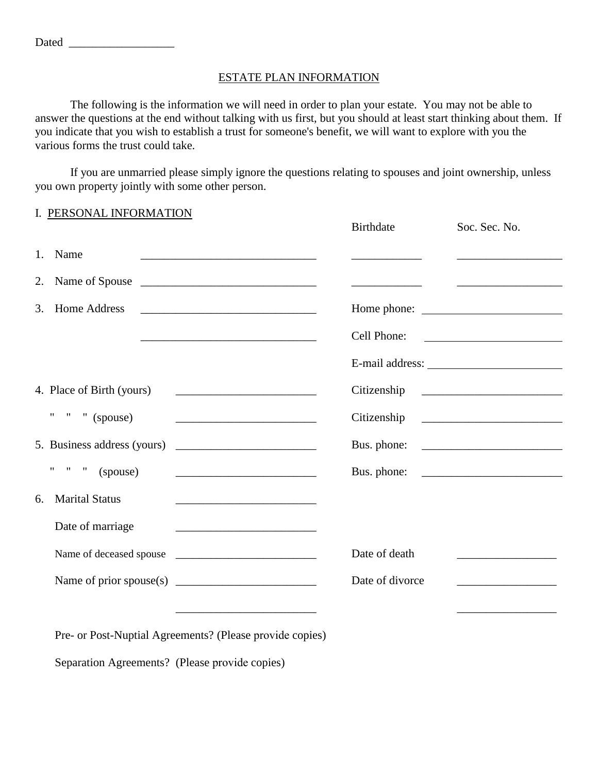The following is the information we will need in order to plan your estate. You may not be able to answer the questions at the end without talking with us first, but you should at least start thinking about them. If you indicate that you wish to establish a trust for someone's benefit, we will want to explore with you the various forms the trust could take.

If you are unmarried please simply ignore the questions relating to spouses and joint ownership, unless you own property jointly with some other person.

| I. PERSONAL INFORMATION                                                                                                                              | Birthdate                                                                                                                                                                                                                            | Soc. Sec. No.                                                                                                         |
|------------------------------------------------------------------------------------------------------------------------------------------------------|--------------------------------------------------------------------------------------------------------------------------------------------------------------------------------------------------------------------------------------|-----------------------------------------------------------------------------------------------------------------------|
| Name<br>1.<br><u> 1989 - Johann Stein, mars an deutscher Stein († 1989)</u>                                                                          |                                                                                                                                                                                                                                      |                                                                                                                       |
| Name of Spouse<br>2.                                                                                                                                 | <u> El antiga de la contenentación de la contenentación de la contenentación de la contenentación de la contenentación de la contenentación de la contenentación de la contenentación de la contenentación de la contenentación </u> | <u> 1989 - Andrea Barbara, mandatar a</u>                                                                             |
| Home Address<br>3.                                                                                                                                   |                                                                                                                                                                                                                                      |                                                                                                                       |
| the control of the control of the control of the control of the control of the control of                                                            | Cell Phone:                                                                                                                                                                                                                          |                                                                                                                       |
|                                                                                                                                                      |                                                                                                                                                                                                                                      |                                                                                                                       |
| 4. Place of Birth (yours)                                                                                                                            | Citizenship                                                                                                                                                                                                                          | <u> 1980 - Johann Barn, mars and de Branch Barn, mars and de Branch Barn, mars and de Branch Barn, mars and de Br</u> |
| " " " (spouse)                                                                                                                                       | Citizenship                                                                                                                                                                                                                          |                                                                                                                       |
| 5. Business address (yours)<br><u> 2000 - Andrea Andrew Maria (h. 18</u>                                                                             |                                                                                                                                                                                                                                      |                                                                                                                       |
| " " $"$ (spouse)<br><u> 1989 - Johann Harry Harry Harry Harry Harry Harry Harry Harry Harry Harry Harry Harry Harry Harry Harry Harry</u>            |                                                                                                                                                                                                                                      | Bus. phone:                                                                                                           |
| <b>Marital Status</b><br>6.<br><u> 1989 - Johann Barbara, martin amerikan basar dan berasal dalam basar dalam basar dalam basar dalam basar dala</u> |                                                                                                                                                                                                                                      |                                                                                                                       |
| Date of marriage<br><u> 1989 - Johann John Stein, mars an deus Frankryk († 1951)</u>                                                                 |                                                                                                                                                                                                                                      |                                                                                                                       |
| Name of deceased spouse                                                                                                                              | Date of death                                                                                                                                                                                                                        |                                                                                                                       |
|                                                                                                                                                      | Date of divorce                                                                                                                                                                                                                      |                                                                                                                       |
|                                                                                                                                                      |                                                                                                                                                                                                                                      |                                                                                                                       |
| Pre- or Post-Nuptial Agreements? (Please provide copies)                                                                                             |                                                                                                                                                                                                                                      |                                                                                                                       |

Separation Agreements? (Please provide copies)

Dated \_\_\_\_\_\_\_\_\_\_\_\_\_\_\_\_\_\_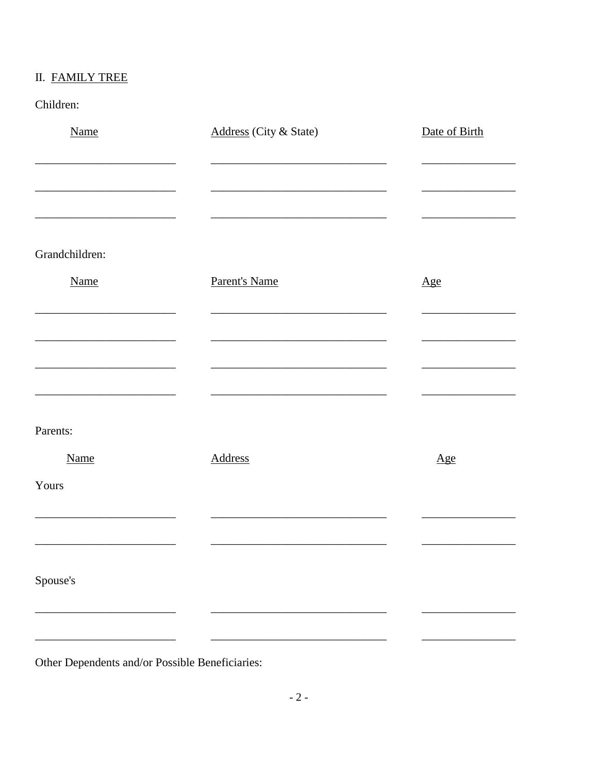# II. FAMILY TREE

Children:

| <b>Name</b>    | Address (City & State) | Date of Birth     |
|----------------|------------------------|-------------------|
|                |                        |                   |
|                |                        |                   |
|                |                        |                   |
| Grandchildren: |                        |                   |
| <b>Name</b>    | Parent's Name          | $\underline{Age}$ |
|                |                        |                   |
|                |                        |                   |
|                |                        |                   |
|                |                        |                   |
| Parents:       |                        |                   |
| Name           | <b>Address</b>         | Age               |
| Yours          |                        |                   |
|                |                        |                   |
|                |                        |                   |
| Spouse's       |                        |                   |
|                |                        |                   |
|                |                        |                   |

Other Dependents and/or Possible Beneficiaries: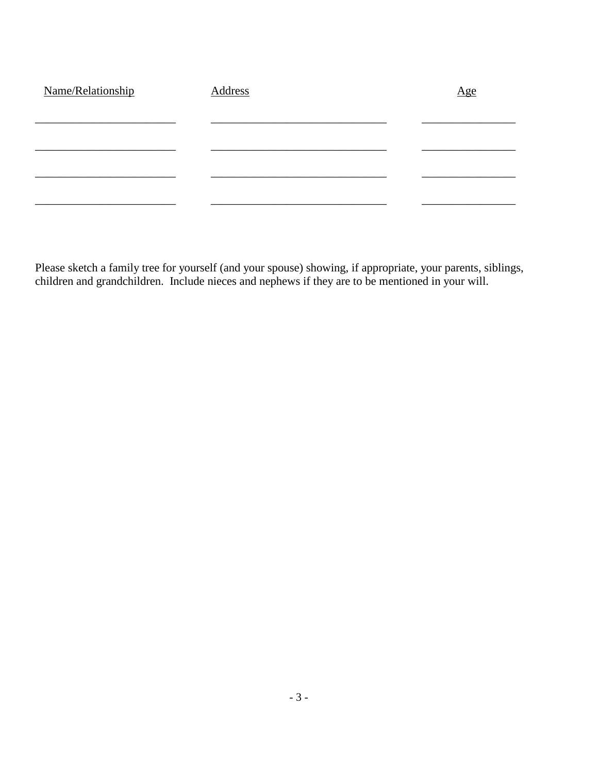| Name/Relationship | Address | <u>Age</u> |
|-------------------|---------|------------|
|                   |         |            |
|                   |         |            |
|                   |         |            |
|                   |         |            |
|                   |         |            |

Please sketch a family tree for yourself (and your spouse) showing, if appropriate, your parents, siblings, children and grandchildren. Include nieces and nephews if they are to be mentioned in your will.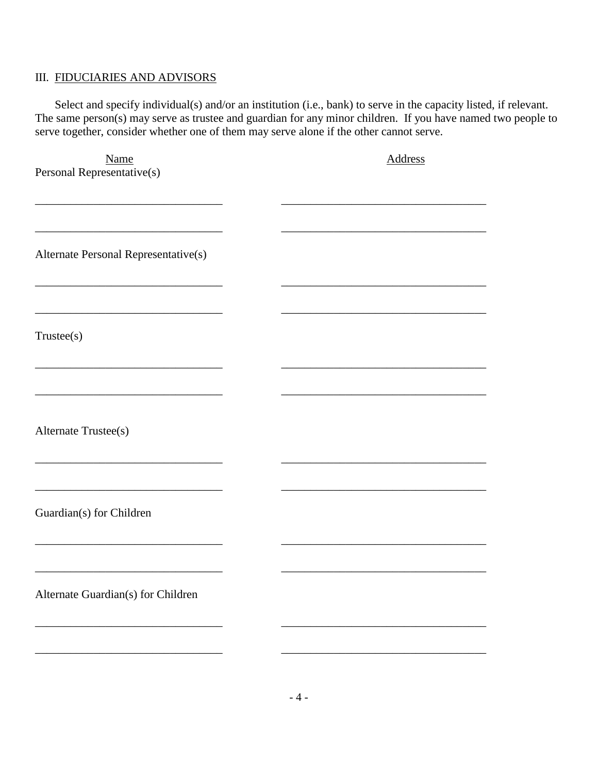### III. FIDUCIARIES AND ADVISORS

Select and specify individual(s) and/or an institution (i.e., bank) to serve in the capacity listed, if relevant. The same person(s) may serve as trustee and guardian for any minor children. If you have named two people to serve together, consider whether one of them may serve alone if the other cannot serve.

| Name                                 | <b>Address</b> |
|--------------------------------------|----------------|
| Personal Representative(s)           |                |
|                                      |                |
|                                      |                |
|                                      |                |
|                                      |                |
| Alternate Personal Representative(s) |                |
|                                      |                |
|                                      |                |
|                                      |                |
| Trustee(s)                           |                |
|                                      |                |
|                                      |                |
|                                      |                |
|                                      |                |
|                                      |                |
| Alternate Trustee(s)                 |                |
|                                      |                |
|                                      |                |
|                                      |                |
|                                      |                |
| Guardian(s) for Children             |                |
|                                      |                |
|                                      |                |
|                                      |                |
| Alternate Guardian(s) for Children   |                |
|                                      |                |
|                                      |                |
|                                      |                |
|                                      |                |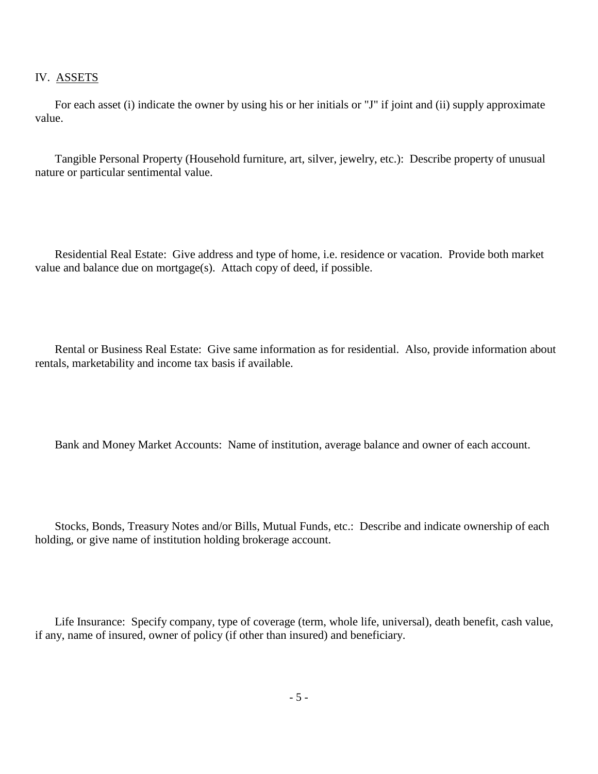#### IV. ASSETS

For each asset (i) indicate the owner by using his or her initials or "J" if joint and (ii) supply approximate value.

Tangible Personal Property (Household furniture, art, silver, jewelry, etc.): Describe property of unusual nature or particular sentimental value.

Residential Real Estate: Give address and type of home, i.e. residence or vacation. Provide both market value and balance due on mortgage(s). Attach copy of deed, if possible.

Rental or Business Real Estate: Give same information as for residential. Also, provide information about rentals, marketability and income tax basis if available.

Bank and Money Market Accounts: Name of institution, average balance and owner of each account.

Stocks, Bonds, Treasury Notes and/or Bills, Mutual Funds, etc.: Describe and indicate ownership of each holding, or give name of institution holding brokerage account.

Life Insurance: Specify company, type of coverage (term, whole life, universal), death benefit, cash value, if any, name of insured, owner of policy (if other than insured) and beneficiary.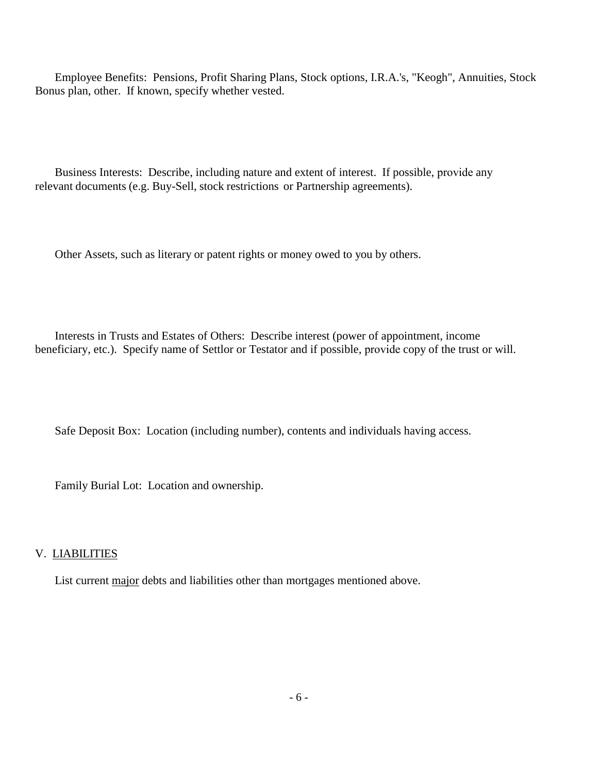Employee Benefits: Pensions, Profit Sharing Plans, Stock options, I.R.A.'s, "Keogh", Annuities, Stock Bonus plan, other. If known, specify whether vested.

Business Interests: Describe, including nature and extent of interest. If possible, provide any relevant documents (e.g. Buy-Sell, stock restrictions or Partnership agreements).

Other Assets, such as literary or patent rights or money owed to you by others.

Interests in Trusts and Estates of Others: Describe interest (power of appointment, income beneficiary, etc.). Specify name of Settlor or Testator and if possible, provide copy of the trust or will.

Safe Deposit Box: Location (including number), contents and individuals having access.

Family Burial Lot: Location and ownership.

### V. LIABILITIES

List current major debts and liabilities other than mortgages mentioned above.